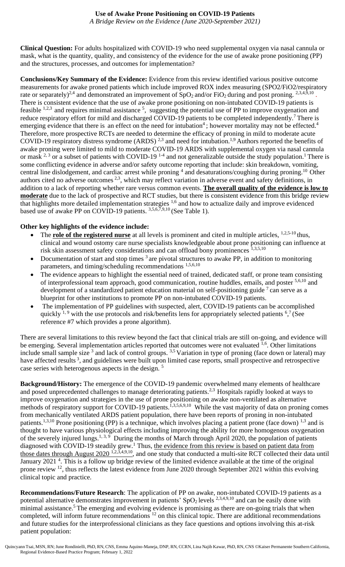*A Bridge Review on the Evidence (June 2020-September 2021)*

**Clinical Question:** For adults hospitalized with COVID-19 who need supplemental oxygen via nasal cannula or mask, what is the quantity, quality, and consistency of the evidence for the use of awake prone positioning (PP) and the structures, processes, and outcomes for implementation?

**Conclusions/Key Summary of the Evidence:** Evidence from this review identified various positive outcome measurements for awake proned patients which include improved ROX index measuring (SPO2/FiO2/respiratory rate or separately)<sup>2,4</sup> and demonstrated an improvement of SpO<sub>2</sub> and/or FiO<sub>2</sub> during and post proning. <sup>2,3,4,9,10</sup>. There is consistent evidence that the use of awake prone positioning on non-intubated COVID-19 patients is feasible  $^{1,2,3}$  and requires minimal assistance  $^5$ , suggesting the potential use of PP to improve oxygenation and reduce respiratory effort for mild and discharged COVID-19 patients to be completed independently.<sup>7</sup> There is emerging evidence that there is an effect on the need for intubation<sup>4</sup>; however mortality may not be effected.<sup>4</sup> Therefore, more prospective RCTs are needed to determine the efficacy of proning in mild to moderate acute COVID-19 respiratory distress syndrome (ARDS)<sup>2,3</sup> and need for intubation.<sup>1,9</sup> Authors reported the benefits of awake proning were limited to mild to moderate COVID-19 ARDS with supplemental oxygen via nasal cannula or mask  $^{2,3}$  or a subset of patients with COVID-19<sup>-4</sup> and not generalizable outside the study population.<sup>1</sup> There is some conflicting evidence in adverse and/or safety outcome reporting that include: skin breakdown, vomiting, central line dislodgement, and cardiac arrest while proning <sup>4</sup> and desaturations/coughing during proning.<sup>10</sup> Other authors cited no adverse outcomes 2,3, which may reflect variation in adverse event and safety definitions, in addition to a lack of reporting whether rare versus common events. **The overall quality of the evidence is low to moderate** due to the lack of prospective and RCT studies, but there is consistent evidence from this bridge review that highlights more detailed implementation strategies <sup>1,6</sup> and how to actualize daily and improve evidenced based use of awake PP on COVID-19 patients. 3,5,6,7,9,10 (See Table 1).

# **Other key highlights of the evidence include:**

- The **role of the registered nurse** at all levels is prominent and cited in multiple articles, <sup>1,2,5-10</sup> thus, clinical and wound ostomy care nurse specialists knowledgeable about prone positioning can influence at risk skin assessment safety considerations and can offload bony prominences 1,3,5,10
- Documentation of start and stop times  $3$  are pivotal structures to awake PP, in addition to monitoring parameters, and timing/scheduling recommendations 1,5,6,10
- The evidence appears to highlight the essential need of trained, dedicated staff, or prone team consisting of interprofessional team approach, good communication, routine huddles, emails, and poster 5,6,10 and development of a standardized patient education material on self-positioning guide  $\frac{7}{2}$  can serve as a blueprint for other institutions to promote PP on non-intubated COVID-19 patients.
- The implementation of PP guidelines with suspected, alert, COVID-19 patients can be accomplished quickly  $1.9$  with the use protocols and risk/benefits lens for appropriately selected patients  $6.7$  (See reference #7 which provides a prone algorithm).

There are several limitations to this review beyond the fact that clinical trials are still on-going, and evidence will be emerging. Several implementation articles reported that outcomes were not evaluated <sup>1,6</sup>. Other limitations include small sample size<sup>3</sup> and lack of control groups.  $3.5$  Variation in type of proning (face down or lateral) may have affected results<sup>3</sup>, and guidelines were built upon limited case reports, small prospective and retrospective case series with heterogenous aspects in the design. <sup>5</sup>

**Background/History:** The emergence of the COVID-19 pandemic overwhelmed many elements of healthcare and posed unprecedented challenges to manage deteriorating patients.<sup>2,3</sup> Hospitals rapidly looked at ways to improve oxygenation and strategies in the use of prone positioning on awake non-ventilated as alternative methods of respiratory support for COVID-19 patients.<sup>1,3,5,6,9,10</sup> While the vast majority of data on proning comes from mechanically ventilated ARDS patient population, there have been reports of proning in non-intubated patients.<sup>1,3,10</sup> Prone positioning (PP) is a technique, which involves placing a patient prone (face down) <sup>1,3</sup> and is thought to have various physiological effects including improving the ability for more homogenous oxygenation of the severely injured lungs.<sup>1, 3, 9</sup> During the months of March through April 2020, the population of patients diagnosed with COVID-19 steadily grew.<sup>1</sup> Thus, the evidence from this review is based on patient data from those dates through August 2020 <sup>1,2,3,4,9,10</sup>, and one study that conducted a multi-site RCT collected their data until January 2021<sup>4</sup>. This is a follow up bridge review of the limited evidence available at the time of the original prone review <sup>12</sup>, thus reflects the latest evidence from June 2020 through September 2021 within this evolving clinical topic and practice.

**Recommendations/Future Research**: The application of PP on awake, non-intubated COVID-19 patients as a potential alternative demonstrates improvement in patients' SpO<sub>2</sub> levels  $^{2,3,4,9,10}$  and can be easily done with minimal assistance.<sup>5</sup> The emerging and evolving evidence is promising as there are on-going trials that when completed, will inform future recommendations <sup>12</sup> on this clinical topic. There are additional recommendations and future studies for the interprofessional clinicians as they face questions and options involving this at-risk patient population: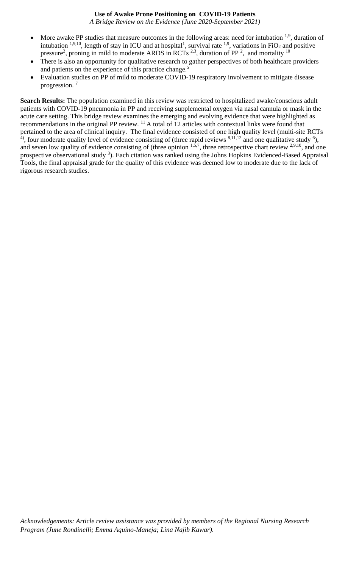*A Bridge Review on the Evidence (June 2020-September 2021)*

- More awake PP studies that measure outcomes in the following areas: need for intubation  $1,9$ , duration of intubation <sup>1,9,10</sup>, length of stay in ICU and at hospital<sup>1</sup>, survival rate <sup>1,9</sup>, variations in FiO<sub>2</sub> and positive pressure<sup>2</sup>, proning in mild to moderate ARDS in RCTs<sup>2,3</sup>, duration of PP<sup>2</sup>, and mortality <sup>10</sup>
- There is also an opportunity for qualitative research to gather perspectives of both healthcare providers and patients on the experience of this practice change.<sup>5</sup>
- Evaluation studies on PP of mild to moderate COVID-19 respiratory involvement to mitigate disease progression. <sup>7</sup>

**Search Results:** The population examined in this review was restricted to hospitalized awake/conscious adult patients with COVID-19 pneumonia in PP and receiving supplemental oxygen via nasal cannula or mask in the acute care setting. This bridge review examines the emerging and evolving evidence that were highlighted as recommendations in the original PP review. <sup>11</sup> A total of 12 articles with contextual links were found that pertained to the area of clinical inquiry. The final evidence consisted of one high quality level (multi-site RCTs  $\overline{A}$ ), four moderate quality level of evidence consisting of (three rapid reviews  $\frac{8,11,12}{3}$  and one qualitative study  $\overline{6}$ ), and seven low quality of evidence consisting of (three opinion  $1,5,7$ , three retrospective chart review  $2,9,10$ , and one prospective observational study <sup>3</sup>). Each citation was ranked using the Johns Hopkins Evidenced-Based Appraisal Tools, the final appraisal grade for the quality of this evidence was deemed low to moderate due to the lack of rigorous research studies.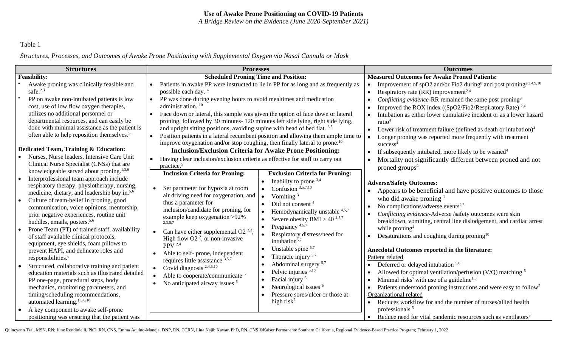*A Bridge Review on the Evidence (June 2020-September 2021)*

# Table 1

*Structures, Processes, and Outcomes of Awake Prone Positioning with Supplemental Oxygen via Nasal Cannula or Mask* 

| <b>Structures</b>                                                                                                                                                                                                                                                                                                                                                                                                                                                                                                                                                                                                                                                                                                                                                                                                                                                    | <b>Processes</b>                                                                                                                                                                                                                                                                                                                                                                                                                                                                                                                                                                                                                                                                                                                                                                                                                                                                                                                                                                                                                                                                                                                                                                                                  | <b>Outcomes</b>                                                                                                                                                                                                                                                                                                                                                                                                                                                                                                                                                                                                                                                                                                                                                                                                                                                             |  |  |
|----------------------------------------------------------------------------------------------------------------------------------------------------------------------------------------------------------------------------------------------------------------------------------------------------------------------------------------------------------------------------------------------------------------------------------------------------------------------------------------------------------------------------------------------------------------------------------------------------------------------------------------------------------------------------------------------------------------------------------------------------------------------------------------------------------------------------------------------------------------------|-------------------------------------------------------------------------------------------------------------------------------------------------------------------------------------------------------------------------------------------------------------------------------------------------------------------------------------------------------------------------------------------------------------------------------------------------------------------------------------------------------------------------------------------------------------------------------------------------------------------------------------------------------------------------------------------------------------------------------------------------------------------------------------------------------------------------------------------------------------------------------------------------------------------------------------------------------------------------------------------------------------------------------------------------------------------------------------------------------------------------------------------------------------------------------------------------------------------|-----------------------------------------------------------------------------------------------------------------------------------------------------------------------------------------------------------------------------------------------------------------------------------------------------------------------------------------------------------------------------------------------------------------------------------------------------------------------------------------------------------------------------------------------------------------------------------------------------------------------------------------------------------------------------------------------------------------------------------------------------------------------------------------------------------------------------------------------------------------------------|--|--|
| <b>Feasibility:</b>                                                                                                                                                                                                                                                                                                                                                                                                                                                                                                                                                                                                                                                                                                                                                                                                                                                  | <b>Scheduled Proning Time and Position:</b>                                                                                                                                                                                                                                                                                                                                                                                                                                                                                                                                                                                                                                                                                                                                                                                                                                                                                                                                                                                                                                                                                                                                                                       | <b>Measured Outcomes for Awake Proned Patients:</b>                                                                                                                                                                                                                                                                                                                                                                                                                                                                                                                                                                                                                                                                                                                                                                                                                         |  |  |
| Awake proning was clinically feasible and<br>safe. $2,3$<br>PP on awake non-intubated patients is low<br>cost, use of low flow oxygen therapies,<br>utilizes no additional personnel or<br>departmental resources, and can easily be<br>done with minimal assistance as the patient is<br>often able to help reposition themselves. <sup>5</sup><br>Dedicated Team, Training & Education:                                                                                                                                                                                                                                                                                                                                                                                                                                                                            | Patients in awake PP were instructed to lie in PP for as long and as frequently as<br>possible each day. <sup>4</sup><br>PP was done during evening hours to avoid mealtimes and medication<br>administration. <sup>10</sup><br>Face down or lateral, this sample was given the option of face down or lateral<br>$\bullet$<br>proning, followed by 30 minutes-120 minutes left side lying, right side lying,<br>and upright sitting positions, avoiding supine with head of bed flat. 3.5<br>Position patients in a lateral recumbent position and allowing them ample time to<br>improve oxygenation and/or stop coughing, then finally lateral to prone. <sup>10</sup>                                                                                                                                                                                                                                                                                                                                                                                                                                                                                                                                         | Improvement of spO2 and/or Fio2 during <sup>8</sup> and post proning <sup>2,3,4,9,10</sup><br>Respiratory rate (RR) improvement <sup>2,4</sup><br>Conflicting evidence-RR remained the same post proning <sup>3</sup><br>Improved the ROX index ((SpO2/Fio2/Respiratory Rate) <sup>2,4</sup><br>Intubation as either lower cumulative incident or as a lower hazard<br>ratio <sup>4</sup><br>Lower risk of treatment failure (defined as death or intubation) $4$<br>Longer proning was reported more frequently with treatment<br>success <sup>4</sup>                                                                                                                                                                                                                                                                                                                     |  |  |
| Nurses, Nurse leaders, Intensive Care Unit<br>Clinical Nurse Specialist (CNSs) that are<br>knowledgeable served about proning. $1,3,6$                                                                                                                                                                                                                                                                                                                                                                                                                                                                                                                                                                                                                                                                                                                               | <b>Inclusion/Exclusion Criteria for Awake Prone Positioning:</b><br>Having clear inclusion/exclusion criteria as effective for staff to carry out<br>practice. <sup>5</sup><br><b>Inclusion Criteria for Proning:</b><br><b>Exclusion Criteria for Proning:</b>                                                                                                                                                                                                                                                                                                                                                                                                                                                                                                                                                                                                                                                                                                                                                                                                                                                                                                                                                   | If subsequently intubated, more likely to be weaned <sup>4</sup><br>Mortality not significantly different between proned and not<br>proned groups <sup>4</sup>                                                                                                                                                                                                                                                                                                                                                                                                                                                                                                                                                                                                                                                                                                              |  |  |
| Interprofessional team approach include<br>respiratory therapy, physiotherapy, nursing,<br>medicine, dietary, and leadership buy in. <sup>5,6</sup><br>Culture of team-belief in proning, good<br>communication, voice opinions, mentorship,<br>prior negative experiences, routine unit<br>huddles, emails, posters. <sup>5,6</sup><br>Prone Team (PT) of trained staff, availability<br>of staff available clinical protocols,<br>equipment, eye shields, foam pillows to<br>prevent HAPI, and delineate roles and<br>responsibilities. <sup>6</sup><br>Structured, collaborative training and patient<br>education materials such as illustrated detailed<br>PP one-page, procedural steps, body<br>mechanics, monitoring parameters, and<br>timing/scheduling recommendations,<br>automated learning. <sup>1,5,6,10</sup><br>A key component to awake self-prone | Inability to prone $3,4$<br>$\bullet$<br>Set parameter for hypoxia at room<br>Confusion $3,5,7,10$<br>$\bullet$<br>air driving need for oxygenation, and<br>Vomiting $3$<br>thus a parameter for<br>Did not consent <sup>4</sup><br>$\bullet$<br>inclusion/candidate for proning, for<br>Hemodynamically unstable 4,5,7<br>$\bullet$<br>example keep oxygenation >92%<br>Severe obesity BMI > 40 <sup>4,5,7</sup><br>$\bullet$<br>2,3,5,7<br>Pregnancy <sup>4,5.7</sup><br>$\bullet$<br>Can have either supplemental O2 $^{2,3}$ ,<br>Respiratory distress/need for<br>$\bullet$<br>High flow O2 $^2$ , or non-invasive<br>intubation <sup>5,7</sup><br>PPV $2,4$<br>Unstable spine $5.7$<br>$\bullet$<br>Able to self- prone, independent<br>Thoracic injury $5.7$<br>$\bullet$<br>requires little assistance $3,5,7$<br>Abdominal surgery <sup>5,7</sup><br>$\bullet$<br>Covid diagnosis $2,4,5,10$<br>Pelvic injuries 5,10<br>$\bullet$<br>Able to cooperate/communicate <sup>5</sup><br>Facial injury <sup>5</sup><br>$\bullet$<br>No anticipated airway issues <sup>5</sup><br>$\bullet$<br>Neurological issues <sup>5</sup><br>$\bullet$<br>Pressure sores/ulcer or those at<br>$\bullet$<br>high risk $^7$ | <b>Adverse/Safety Outcomes:</b><br>Appears to be beneficial and have positive outcomes to those<br>who did awake proning $1$<br>No complications/adverse events <sup>2,3</sup><br>Conflicting evidence-Adverse /safety outcomes were skin<br>breakdown, vomiting, central line dislodgement, and cardiac arrest<br>while proning <sup>4</sup><br>Desaturations and coughing during proning <sup>10</sup><br>Anecdotal Outcomes reported in the literature:<br>Patient related<br>Deferred or delayed intubation <sup>5,8</sup><br>Allowed for optimal ventilation/perfusion (V/Q) matching $5$<br>Minimal risks <sup>7</sup> with use of a guideline <sup>1,5</sup><br>Patients understood proning instructions and were easy to follow <sup>5</sup><br>Organizational related<br>Reduces workflow for and the number of nurses/allied health<br>professionals <sup>5</sup> |  |  |
| positioning was ensuring that the patient was                                                                                                                                                                                                                                                                                                                                                                                                                                                                                                                                                                                                                                                                                                                                                                                                                        |                                                                                                                                                                                                                                                                                                                                                                                                                                                                                                                                                                                                                                                                                                                                                                                                                                                                                                                                                                                                                                                                                                                                                                                                                   | Reduce need for vital pandemic resources such as ventilators <sup>5</sup>                                                                                                                                                                                                                                                                                                                                                                                                                                                                                                                                                                                                                                                                                                                                                                                                   |  |  |

Quincyann Tsai, MSN, RN; June Rondinielli, PhD, RN, CNS, Emma Aquino-Maneja, DNP, RN, CCRN, Lina Najib Kawar, PhD, RN, CNS ©Kaiser Permanente Southern California, Regional Evidence-Based Practice Program; February 1, 2022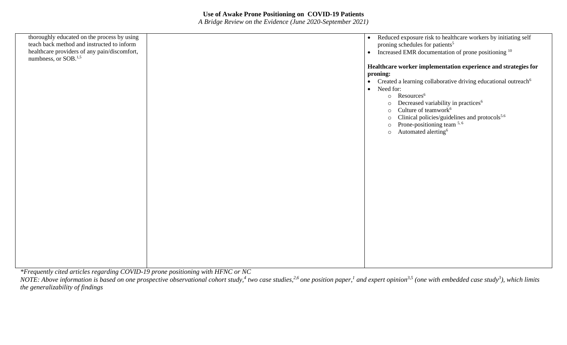*A Bridge Review on the Evidence (June 2020-September 2021)*

| thoroughly educated on the process by using<br>teach back method and instructed to inform<br>healthcare providers of any pain/discomfort,                                                                     | Reduced exposure risk to healthcare workers by initiating self<br>$\bullet$<br>proning schedules for patients <sup>5</sup><br>Increased EMR documentation of prone positioning <sup>10</sup><br>$\bullet$ |
|---------------------------------------------------------------------------------------------------------------------------------------------------------------------------------------------------------------|-----------------------------------------------------------------------------------------------------------------------------------------------------------------------------------------------------------|
| numbness, or SOB. <sup>1,5</sup>                                                                                                                                                                              | Healthcare worker implementation experience and strategies for                                                                                                                                            |
|                                                                                                                                                                                                               | proning:                                                                                                                                                                                                  |
|                                                                                                                                                                                                               | Created a learning collaborative driving educational outreach <sup>6</sup><br>$\bullet$                                                                                                                   |
|                                                                                                                                                                                                               | Need for:<br>$\bullet$                                                                                                                                                                                    |
|                                                                                                                                                                                                               | Resources <sup>6</sup><br>$\circ$<br>Decreased variability in practices <sup>6</sup><br>$\circ$                                                                                                           |
|                                                                                                                                                                                                               | Culture of teamwork <sup>6</sup><br>$\circ$                                                                                                                                                               |
|                                                                                                                                                                                                               | Clinical policies/guidelines and protocols <sup>5.6</sup><br>$\Omega$                                                                                                                                     |
|                                                                                                                                                                                                               | Prone-positioning team 5, 6<br>$\Omega$<br>Automated alerting <sup>6</sup>                                                                                                                                |
|                                                                                                                                                                                                               | $\circ$                                                                                                                                                                                                   |
|                                                                                                                                                                                                               |                                                                                                                                                                                                           |
|                                                                                                                                                                                                               |                                                                                                                                                                                                           |
|                                                                                                                                                                                                               |                                                                                                                                                                                                           |
|                                                                                                                                                                                                               |                                                                                                                                                                                                           |
|                                                                                                                                                                                                               |                                                                                                                                                                                                           |
|                                                                                                                                                                                                               |                                                                                                                                                                                                           |
|                                                                                                                                                                                                               |                                                                                                                                                                                                           |
|                                                                                                                                                                                                               |                                                                                                                                                                                                           |
|                                                                                                                                                                                                               |                                                                                                                                                                                                           |
|                                                                                                                                                                                                               |                                                                                                                                                                                                           |
|                                                                                                                                                                                                               |                                                                                                                                                                                                           |
|                                                                                                                                                                                                               |                                                                                                                                                                                                           |
|                                                                                                                                                                                                               |                                                                                                                                                                                                           |
| $\mathbf{1}$ $\mathbf{1}$ $\mathbf{1}$ $\mathbf{1}$ $\mathbf{1}$<br>$\mathbf{r}$ $\alpha\alpha\mathbf{r}$<br><b><i>Charles Committee Committee Committee</i></b><br>$\mathbf{u}$ $\mathbf{v}$<br>$\mathbf{A}$ |                                                                                                                                                                                                           |

*\*Frequently cited articles regarding COVID-19 prone positioning with HFNC or NC*

NOTE: Above information is based on one prospective observational cohort study,<sup>4</sup> two case studies,<sup>2,6</sup> one position paper,<sup>1</sup> and expert opinion<sup>3,5</sup> (one with embedded case study<sup>3</sup>), which limits *the generalizability of findings*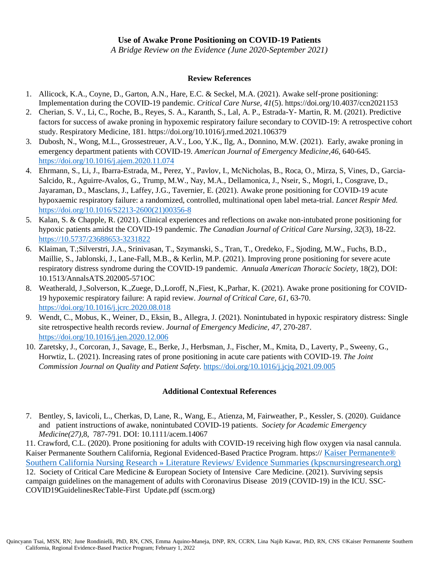*A Bridge Review on the Evidence (June 2020-September 2021)*

#### **Review References**

- 1. Allicock, K.A., Coyne, D., Garton, A.N., Hare, E.C. & Seckel, M.A. (2021). Awake self-prone positioning: Implementation during the COVID-19 pandemic. *Critical Care Nurse, 41*(5). https://doi.org/10.4037/ccn2021153
- 2. Cherian, S. V., Li, C., Roche, B., Reyes, S. A., Karanth, S., Lal, A. P., Estrada-Y- Martin, R. M. (2021). Predictive factors for success of awake proning in hypoxemic respiratory failure secondary to COVID-19: A retrospective cohort study. Respiratory Medicine, 181. https://doi.org/10.1016/j.rmed.2021.106379
- 3. Dubosh, N., Wong, M.L., Grossestreuer, A.V., Loo, Y.K., Ilg, A., Donnino, M.W. (2021). Early, awake proning in emergency department patients with COVID-19. *American Journal of Emergency Medicine,46*, 640-645. <https://doi.org/10.1016/j.ajem.2020.11.074>
- 4. Ehrmann, S., Li, J., Ibarra-Estrada, M., Perez, Y., Pavlov, I., McNicholas, B., Roca, O., Mirza, S, Vines, D., Garcia-Salcido, R., Aguirre-Avalos, G., Trump, M.W., Nay, M.A., Dellamonica, J., Nseir, S., Mogri, I., Cosgrave, D., Jayaraman, D., Masclans, J., Laffey, J.G., Tavernier, E. (2021). Awake prone positioning for COVID-19 acute hypoxaemic respiratory failure: a randomized, controlled, multinational open label meta-trial. *Lancet Respir Med.*  [https://doi.org/10.1016/S2213-2600\(21\)00356-8](https://doi.org/10.1016/S2213-2600(21)00356-8)
- 5. Kalan, S. & Chapple, R. (2021). Clinical experiences and reflections on awake non-intubated prone positioning for hypoxic patients amidst the COVID-19 pandemic. *The Canadian Journal of Critical Care Nursing*, *32*(3), 18-22. [https://10.5737/23688653-3231822](https://10.0.22.105/23688653-3231822)
- 6. Klaiman, T.;Silverstri, J.A., Srinivasan, T., Szymanski, S., Tran, T., Oredeko, F., Sjoding, M.W., Fuchs, B.D., Maillie, S., Jablonski, J., Lane-Fall, M.B., & Kerlin, M.P. (2021). Improving prone positioning for severe acute respiratory distress syndrome during the COVID-19 pandemic. *Annuala American Thoracic Society,* 18(2), DOI: 10.1513/AnnalsATS.202005-571OC
- 8. Weatherald, J.,Solverson, K.,Zuege, D.,Loroff, N.,Fiest, K.,Parhar, K. (2021). Awake prone positioning for COVID-19 hypoxemic respiratory failure: A rapid review. *Journal of Critical Care, 61*, 63-70. <https://doi.org/10.1016/j.jcrc.2020.08.018>
- 9. Wendt, C., Mobus, K., Weiner, D., Eksin, B., Allegra, J. (2021). Nonintubated in hypoxic respiratory distress: Single site retrospective health records review. *Journal of Emergency Medicine, 47,* 270-287. <https://doi.org/10.1016/j.jen.2020.12.006>
- 10. Zaretsky, J., Corcoran, J., Savage, E., Berke, J., Herbsman, J., Fischer, M., Kmita, D., Laverty, P., Sweeny, G., Horwtiz, L. (2021). Increasing rates of prone positioning in acute care patients with COVID-19. *The Joint Commission Journal on Quality and Patient Safety.* <https://doi.org/10.1016/j.jcjq.2021.09.005>

#### **Additional Contextual References**

7. Bentley, S, Iavicoli, L., Cherkas, D, Lane, R., Wang, E., Atienza, M, Fairweather, P., Kessler, S. (2020). Guidance and patient instructions of awake, nonintubated COVID-19 patients. *Society for Academic Emergency Medicine(27),*8, 787-791. DOI: 10.1111/acem.14067

11. Crawford, C.L. (2020). Prone positioning for adults with COVID-19 receiving high flow oxygen via nasal cannula. Kaiser Permanente Southern California, Regional Evidenced-Based Practice Program. https:// [Kaiser Permanente®](http://kpscnursingresearch.org/literature-reviews/)  [Southern California Nursing Research » Literature Reviews/ Evidence Summaries \(kpscnursingresearch.org\)](http://kpscnursingresearch.org/literature-reviews/) 12. Society of Critical Care Medicine & European Society of Intensive Care Medicine. (2021). Surviving sepsis campaign guidelines on the management of adults with Coronavirus Disease 2019 (COVID-19) in the ICU. SSC-COVID19GuidelinesRecTable-First Update.pdf (sscm.org)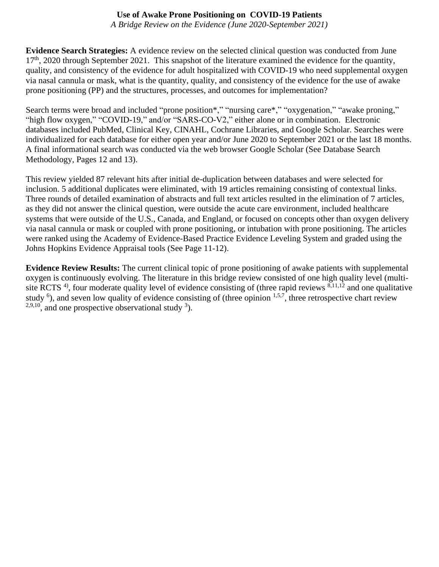*A Bridge Review on the Evidence (June 2020-September 2021)*

**Evidence Search Strategies:** A evidence review on the selected clinical question was conducted from June  $17<sup>th</sup>$ , 2020 through September 2021. This snapshot of the literature examined the evidence for the quantity, quality, and consistency of the evidence for adult hospitalized with COVID-19 who need supplemental oxygen via nasal cannula or mask, what is the quantity, quality, and consistency of the evidence for the use of awake prone positioning (PP) and the structures, processes, and outcomes for implementation?

Search terms were broad and included "prone position\*," "nursing care\*," "oxygenation," "awake proning," "high flow oxygen," "COVID-19," and/or "SARS-CO-V2," either alone or in combination. Electronic databases included PubMed, Clinical Key, CINAHL, Cochrane Libraries, and Google Scholar. Searches were individualized for each database for either open year and/or June 2020 to September 2021 or the last 18 months. A final informational search was conducted via the web browser Google Scholar (See Database Search Methodology, Pages 12 and 13).

This review yielded 87 relevant hits after initial de-duplication between databases and were selected for inclusion. 5 additional duplicates were eliminated, with 19 articles remaining consisting of contextual links. Three rounds of detailed examination of abstracts and full text articles resulted in the elimination of 7 articles, as they did not answer the clinical question, were outside the acute care environment, included healthcare systems that were outside of the U.S., Canada, and England, or focused on concepts other than oxygen delivery via nasal cannula or mask or coupled with prone positioning, or intubation with prone positioning. The articles were ranked using the Academy of Evidence-Based Practice Evidence Leveling System and graded using the Johns Hopkins Evidence Appraisal tools (See Page 11-12).

**Evidence Review Results:** The current clinical topic of prone positioning of awake patients with supplemental oxygen is continuously evolving. The literature in this bridge review consisted of one high quality level (multisite RCTS<sup>4)</sup>, four moderate quality level of evidence consisting of (three rapid reviews  $8,11,12$  and one qualitative study  $<sup>6</sup>$ ), and seven low quality of evidence consisting of (three opinion  $<sup>1,5,7</sup>$ , three retrospective chart review</sup></sup>  $2,9,10$ , and one prospective observational study  $3$ ).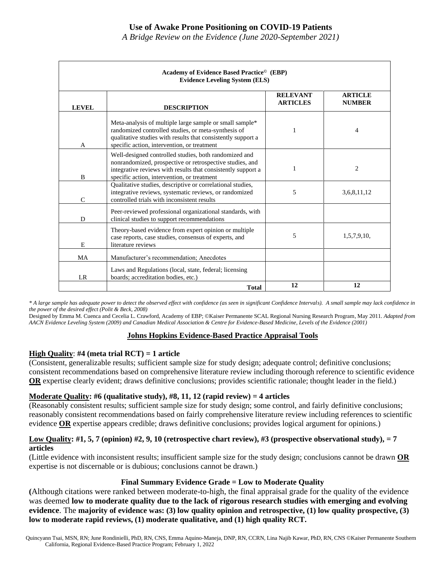*A Bridge Review on the Evidence (June 2020-September 2021)*

|               | Academy of Evidence Based Practice <sup>©</sup> (EBP)<br><b>Evidence Leveling System (ELS)</b>                                                                                                                                   |                                    |                                 |  |  |  |
|---------------|----------------------------------------------------------------------------------------------------------------------------------------------------------------------------------------------------------------------------------|------------------------------------|---------------------------------|--|--|--|
| <b>LEVEL</b>  | <b>DESCRIPTION</b>                                                                                                                                                                                                               | <b>RELEVANT</b><br><b>ARTICLES</b> | <b>ARTICLE</b><br><b>NUMBER</b> |  |  |  |
| A             | Meta-analysis of multiple large sample or small sample*<br>randomized controlled studies, or meta-synthesis of<br>qualitative studies with results that consistently support a<br>specific action, intervention, or treatment    |                                    | 4                               |  |  |  |
| B             | Well-designed controlled studies, both randomized and<br>nonrandomized, prospective or retrospective studies, and<br>integrative reviews with results that consistently support a<br>specific action, intervention, or treatment |                                    | $\overline{c}$                  |  |  |  |
| $\mathcal{C}$ | Qualitative studies, descriptive or correlational studies,<br>integrative reviews, systematic reviews, or randomized<br>controlled trials with inconsistent results                                                              | 5                                  | 3,6,8,11,12                     |  |  |  |
| D             | Peer-reviewed professional organizational standards, with<br>clinical studies to support recommendations                                                                                                                         |                                    |                                 |  |  |  |
| E             | Theory-based evidence from expert opinion or multiple<br>case reports, case studies, consensus of experts, and<br>literature reviews                                                                                             | 5                                  | 1,5,7,9,10,                     |  |  |  |
| <b>MA</b>     | Manufacturer's recommendation; Anecdotes                                                                                                                                                                                         |                                    |                                 |  |  |  |
| <b>LR</b>     | Laws and Regulations (local, state, federal; licensing<br>boards; accreditation bodies, etc.)                                                                                                                                    |                                    |                                 |  |  |  |
|               | <b>Total</b>                                                                                                                                                                                                                     | 12                                 | 12                              |  |  |  |

*\* A large sample has adequate power to detect the observed effect with confidence (as seen in significant Confidence Intervals). A small sample may lack confidence in the power of the desired effect (Polit & Beck, 2008)*

Designed by Emma M. Cuenca and Cecelia L. Crawford, Academy of EBP; ©Kaiser Permanente SCAL Regional Nursing Research Program, May 2011. *Adapted from AACN Evidence Leveling System (2009) and Canadian Medical Association & Centre for Evidence-Based Medicine, Levels of the Evidence (2001)*

#### **Johns Hopkins Evidence-Based Practice Appraisal Tools**

#### **High Quality**: **#4 (meta trial RCT) = 1 article**

(Consistent, generalizable results; sufficient sample size for study design; adequate control; definitive conclusions; consistent recommendations based on comprehensive literature review including thorough reference to scientific evidence **OR** expertise clearly evident; draws definitive conclusions; provides scientific rationale; thought leader in the field.)

#### **Moderate Quality: #6 (qualitative study), #8, 11, 12 (rapid review) = 4 articles**

(Reasonably consistent results; sufficient sample size for study design; some control, and fairly definitive conclusions; reasonably consistent recommendations based on fairly comprehensive literature review including references to scientific evidence **OR** expertise appears credible; draws definitive conclusions; provides logical argument for opinions.)

#### **Low Quality: #1, 5, 7 (opinion) #2, 9, 10 (retrospective chart review), #3 (prospective observational study), = 7 articles**

(Little evidence with inconsistent results; insufficient sample size for the study design; conclusions cannot be drawn **OR** expertise is not discernable or is dubious; conclusions cannot be drawn.)

#### **Final Summary Evidence Grade = Low to Moderate Quality**

**(**Although citations were ranked between moderate-to-high, the final appraisal grade for the quality of the evidence was deemed **low to moderate quality due to the lack of rigorous research studies with emerging and evolving evidence**. The **majority of evidence was: (3) low quality opinion and retrospective, (1) low quality prospective, (3) low to moderate rapid reviews, (1) moderate qualitative, and (1) high quality RCT.**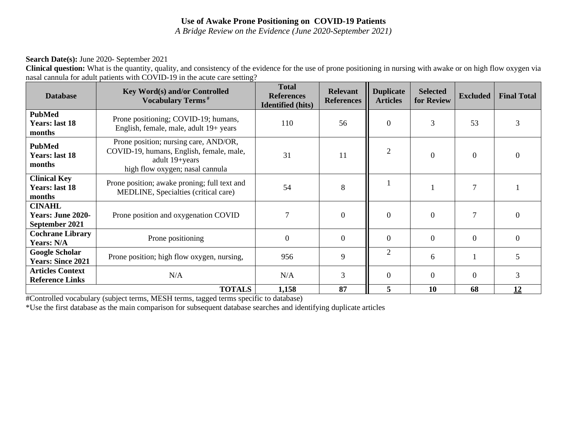*A Bridge Review on the Evidence (June 2020-September 2021)*

#### **Search Date(s):** June 2020- September 2021

**Clinical question:** What is the quantity, quality, and consistency of the evidence for the use of prone positioning in nursing with awake or on high flow oxygen via nasal cannula for adult patients with COVID-19 in the acute care setting?

| <b>Database</b>                                             | <b>Key Word(s) and/or Controlled</b><br><b>Vocabulary Terms</b> <sup>#</sup>                                                           | <b>Total</b><br><b>References</b><br><b>Identified</b> (hits) | <b>Relevant</b><br><b>References</b> | <b>Duplicate</b><br><b>Articles</b> | <b>Selected</b><br>for Review | <b>Excluded</b>  | <b>Final Total</b> |
|-------------------------------------------------------------|----------------------------------------------------------------------------------------------------------------------------------------|---------------------------------------------------------------|--------------------------------------|-------------------------------------|-------------------------------|------------------|--------------------|
| <b>PubMed</b><br><b>Years: last 18</b><br>months            | Prone positioning; COVID-19; humans,<br>English, female, male, adult 19+ years                                                         | 110                                                           | 56                                   | $\overline{0}$                      | 3                             | 53               | 3                  |
| <b>PubMed</b><br><b>Years: last 18</b><br>months            | Prone position; nursing care, AND/OR,<br>COVID-19, humans, English, female, male,<br>adult 19+years<br>high flow oxygen; nasal cannula | 31                                                            | 11                                   | $\overline{2}$                      | $\overline{0}$                | $\boldsymbol{0}$ | $\Omega$           |
| <b>Clinical Key</b><br><b>Years: last 18</b><br>months      | Prone position; awake proning; full text and<br>MEDLINE, Specialties (critical care)                                                   | 54                                                            | 8                                    |                                     |                               | $\tau$           |                    |
| <b>CINAHL</b><br><b>Years: June 2020-</b><br>September 2021 | Prone position and oxygenation COVID                                                                                                   | 7                                                             | $\overline{0}$                       | $\mathbf{0}$                        | $\Omega$                      | 7                | $\Omega$           |
| <b>Cochrane Library</b><br>Years: N/A                       | Prone positioning                                                                                                                      | $\overline{0}$                                                | $\overline{0}$                       | $\overline{0}$                      | $\Omega$                      | $\Omega$         | $\Omega$           |
| <b>Google Scholar</b><br><b>Years: Since 2021</b>           | Prone position; high flow oxygen, nursing,                                                                                             | 956                                                           | 9                                    | $\overline{2}$                      | 6                             |                  | 5                  |
| <b>Articles Context</b><br><b>Reference Links</b>           | N/A                                                                                                                                    | N/A                                                           | 3                                    | $\overline{0}$                      | $\Omega$                      | $\Omega$         | 3                  |
|                                                             | 1,158                                                                                                                                  | 87                                                            | 5                                    | 10                                  | 68                            | 12               |                    |

#Controlled vocabulary (subject terms, MESH terms, tagged terms specific to database)

\*Use the first database as the main comparison for subsequent database searches and identifying duplicate articles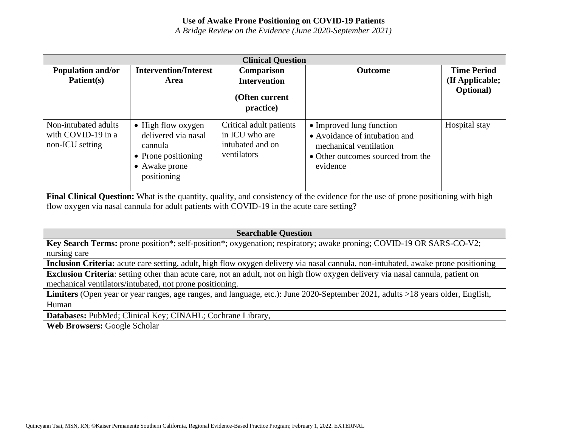*A Bridge Review on the Evidence (June 2020-September 2021)*

| <b>Clinical Question</b>                                                                                                                                                                                                        |                                                                                                             |                                                                              |                                                                                                                                      |                                                            |
|---------------------------------------------------------------------------------------------------------------------------------------------------------------------------------------------------------------------------------|-------------------------------------------------------------------------------------------------------------|------------------------------------------------------------------------------|--------------------------------------------------------------------------------------------------------------------------------------|------------------------------------------------------------|
| <b>Population and/or</b><br>Patient(s)                                                                                                                                                                                          | <b>Intervention/Interest</b><br>Area                                                                        | Comparison<br><b>Intervention</b><br>(Often current<br>practice)             | <b>Outcome</b>                                                                                                                       | <b>Time Period</b><br>(If Applicable;<br><b>Optional</b> ) |
| Non-intubated adults<br>with COVID-19 in a<br>non-ICU setting                                                                                                                                                                   | • High flow oxygen<br>delivered via nasal<br>cannula<br>• Prone positioning<br>• Awake prone<br>positioning | Critical adult patients<br>in ICU who are<br>intubated and on<br>ventilators | • Improved lung function<br>• Avoidance of intubation and<br>mechanical ventilation<br>• Other outcomes sourced from the<br>evidence | Hospital stay                                              |
| Final Clinical Question: What is the quantity, quality, and consistency of the evidence for the use of prone positioning with high<br>flow oxygen via nasal cannula for adult patients with COVID-19 in the acute care setting? |                                                                                                             |                                                                              |                                                                                                                                      |                                                            |

#### **Searchable Question**

**Key Search Terms:** prone position\*; self-position\*; oxygenation; respiratory; awake proning; COVID-19 OR SARS-CO-V2; nursing care

**Inclusion Criteria:** acute care setting, adult, high flow oxygen delivery via nasal cannula, non-intubated, awake prone positioning

**Exclusion Criteria**: setting other than acute care, not an adult, not on high flow oxygen delivery via nasal cannula, patient on mechanical ventilators/intubated, not prone positioning.

**Limiters** (Open year or year ranges, age ranges, and language, etc.): June 2020-September 2021, adults >18 years older, English, Human

**Databases:** PubMed; Clinical Key; CINAHL; Cochrane Library,

**Web Browsers:** Google Scholar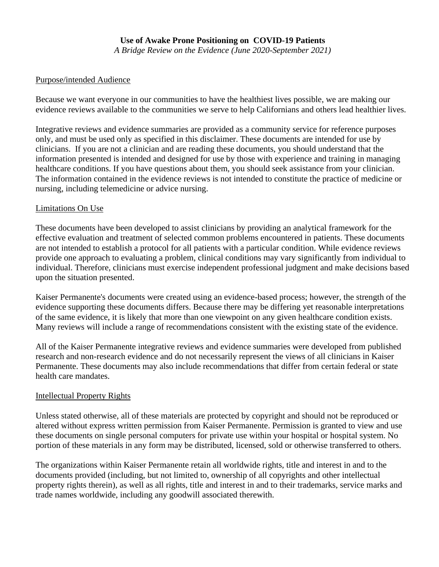*A Bridge Review on the Evidence (June 2020-September 2021)*

#### Purpose/intended Audience

Because we want everyone in our communities to have the healthiest lives possible, we are making our evidence reviews available to the communities we serve to help Californians and others lead healthier lives.

Integrative reviews and evidence summaries are provided as a community service for reference purposes only, and must be used only as specified in this disclaimer. These documents are intended for use by clinicians. If you are not a clinician and are reading these documents, you should understand that the information presented is intended and designed for use by those with experience and training in managing healthcare conditions. If you have questions about them, you should seek assistance from your clinician. The information contained in the evidence reviews is not intended to constitute the practice of medicine or nursing, including telemedicine or advice nursing.

## Limitations On Use

These documents have been developed to assist clinicians by providing an analytical framework for the effective evaluation and treatment of selected common problems encountered in patients. These documents are not intended to establish a protocol for all patients with a particular condition. While evidence reviews provide one approach to evaluating a problem, clinical conditions may vary significantly from individual to individual. Therefore, clinicians must exercise independent professional judgment and make decisions based upon the situation presented.

Kaiser Permanente's documents were created using an evidence-based process; however, the strength of the evidence supporting these documents differs. Because there may be differing yet reasonable interpretations of the same evidence, it is likely that more than one viewpoint on any given healthcare condition exists. Many reviews will include a range of recommendations consistent with the existing state of the evidence.

All of the Kaiser Permanente integrative reviews and evidence summaries were developed from published research and non-research evidence and do not necessarily represent the views of all clinicians in Kaiser Permanente. These documents may also include recommendations that differ from certain federal or state health care mandates.

#### Intellectual Property Rights

Unless stated otherwise, all of these materials are protected by copyright and should not be reproduced or altered without express written permission from Kaiser Permanente. Permission is granted to view and use these documents on single personal computers for private use within your hospital or hospital system. No portion of these materials in any form may be distributed, licensed, sold or otherwise transferred to others.

The organizations within Kaiser Permanente retain all worldwide rights, title and interest in and to the documents provided (including, but not limited to, ownership of all copyrights and other intellectual property rights therein), as well as all rights, title and interest in and to their trademarks, service marks and trade names worldwide, including any goodwill associated therewith.